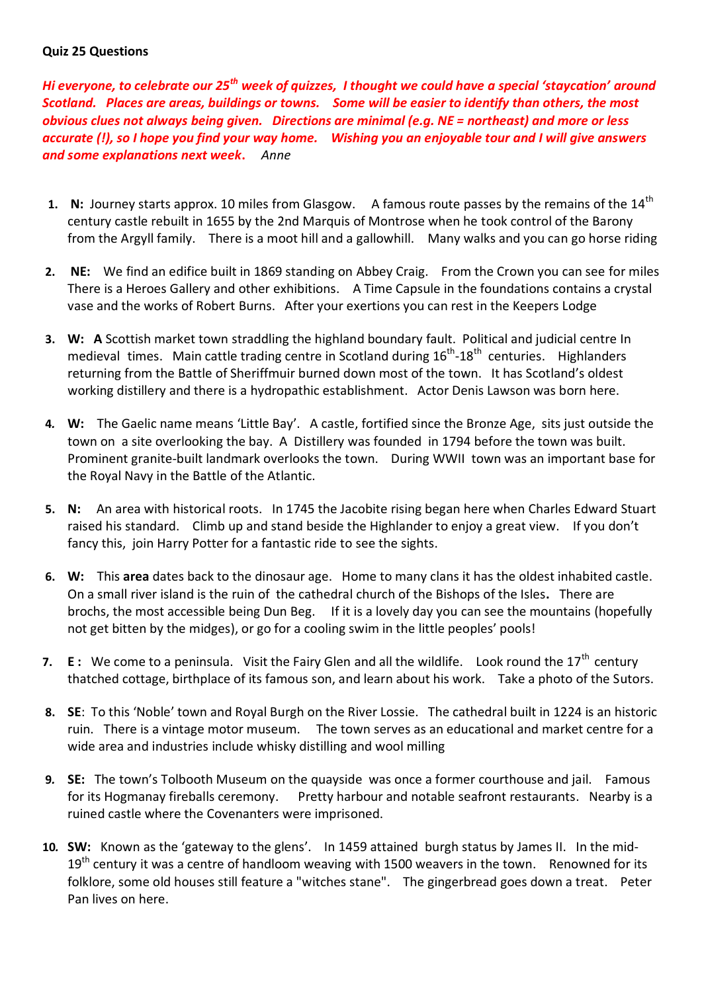## **Quiz 25 Questions**

*Hi everyone, to celebrate our 25th week of quizzes, I thought we could have a special 'staycation' around Scotland. Places are areas, buildings or towns. Some will be easier to identify than others, the most obvious clues not always being given. Directions are minimal (e.g. NE = northeast) and more or less accurate (!), so I hope you find your way home. Wishing you an enjoyable tour and I will give answers and some explanations next week***.** *Anne*

- **1.** N: Journey starts approx. 10 miles from Glasgow. A famous route passes by the remains of the 14<sup>th</sup> century castle rebuilt in 1655 by the 2nd Marquis of Montrose when he took control of the Barony from the Argyll family. There is a moot hill and a gallowhill. Many walks and you can go horse riding
- **2. NE:** We find an edifice built in 1869 standing on Abbey Craig. From the Crown you can see for miles There is a Heroes Gallery and other exhibitions. A Time Capsule in the foundations contains a crystal vase and the works of Robert Burns. After your exertions you can rest in the Keepers Lodge
- **3. W: A** Scottish market town straddling the highland boundary fault. Political and judicial centre In medieval times. Main cattle trading centre in Scotland during  $16^{th}$ -18<sup>th</sup> centuries. Highlanders returning from the Battle of Sheriffmuir burned down most of the town. It has Scotland's oldest working distillery and there is a hydropathic establishment. Actor Denis Lawson was born here.
- **4***.* **W:** The Gaelic name means 'Little Bay'. A castle, fortified since the [Bronze Age,](https://en.wikipedia.org/wiki/Bronze_Age) sits just outside the town on a site overlooking the bay. A [Distillery](https://en.wikipedia.org/wiki/Oban_Distillery) was founded in 1794 before the town was built. Prominent granite-built landmark overlooks the town. During WWII town was an important base for the Royal Navy in the Battle of the Atlantic.
- **5. N:** An area with historical roots.In 1745 the Jacobite rising began here when Charles Edward Stuart raised his standard. Climb up and stand beside the Highlander to enjoy a great view. If you don't fancy this, join Harry Potter for a fantastic ride to see the sights.
- **6. W:** This **area** dates back to the dinosaur age. Home to many clans it has the oldest inhabited castle. On a small river island is the ruin of the cathedral church of the Bishops of the Isles**.** There are brochs, the most accessible being Dun Beg. If it is a lovely day you can see the mountains (hopefully not get bitten by the midges), or go for a cooling swim in the little peoples' pools!
- **7. E**: We come to a peninsula. Visit the Fairy Glen and all the wildlife. Look round the 17<sup>th</sup> century thatched cottage, birthplace of its famous son, and learn about his work. Take a photo of the Sutors.
- **8. SE**: To this 'Noble' town and Royal Burgh on the River Lossie. The cathedral built in 1224 is an historic ruin. There is a vintage motor museum. The town serves as an educational and market centre for a wide area and industries include whisky distilling and wool milling
- **9***.* **SE:** The town's [Tolbooth Museum](http://www.stonehaventolbooth.co.uk/) on the quayside was once a former courthouse and jail. Famous for its Hogmanay fireballs ceremony. Pretty harbour and notable seafront restaurants. Nearby is a ruined castle where the Covenanters were imprisoned.
- **10***.* **SW:** Known as the 'gateway to the glens'. In 1459 attained burgh status by [James II.](https://www.undiscoveredscotland.co.uk/usbiography/monarchs/jamesii.html) In the mid- $19<sup>th</sup>$  century it was a centre of handloom weaving with 1500 weavers in the town. Renowned for its folklore, some old houses still feature a "witches stane". The gingerbread goes down a treat. Peter Pan lives on here.